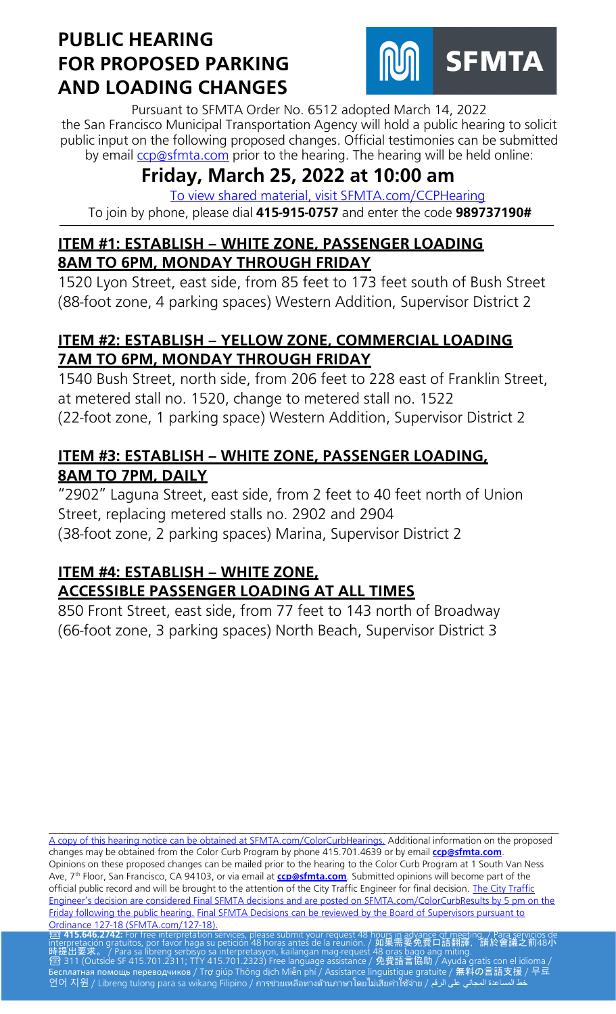

Pursuant to SFMTA Order No. 6512 adopted March 14, 2022 the San Francisco Municipal Transportation Agency will hold a public hearing to solicit public input on the following proposed changes. Official testimonies can be submitted by email [ccp@sfmta.com](mailto:ccp@sfmta.com) prior to the hearing. The hearing will be held online:

# **Friday, March 25, 2022 at 10:00 am**

[To view shared material, visit SFMTA.com/CCPHearing](https://www.sfmta.com/CCPHearing) To join by phone, please dial **415-915-0757** and enter the code **989737190#**

### **ITEM #1: ESTABLISH – WHITE ZONE, PASSENGER LOADING 8AM TO 6PM, MONDAY THROUGH FRIDAY**

1520 Lyon Street, east side, from 85 feet to 173 feet south of Bush Street (88-foot zone, 4 parking spaces) Western Addition, Supervisor District 2

### **ITEM #2: ESTABLISH – YELLOW ZONE, COMMERCIAL LOADING 7AM TO 6PM, MONDAY THROUGH FRIDAY**

1540 Bush Street, north side, from 206 feet to 228 east of Franklin Street, at metered stall no. 1520, change to metered stall no. 1522 (22-foot zone, 1 parking space) Western Addition, Supervisor District 2

### **ITEM #3: ESTABLISH – WHITE ZONE, PASSENGER LOADING, 8AM TO 7PM, DAILY**

"2902" Laguna Street, east side, from 2 feet to 40 feet north of Union Street, replacing metered stalls no. 2902 and 2904 (38-foot zone, 2 parking spaces) Marina, Supervisor District 2

## **ITEM #4: ESTABLISH – WHITE ZONE, ACCESSIBLE PASSENGER LOADING AT ALL TIMES**

850 Front Street, east side, from 77 feet to 143 north of Broadway (66-foot zone, 3 parking spaces) North Beach, Supervisor District 3

\_\_\_\_\_\_\_\_\_\_\_\_\_\_\_\_\_\_\_\_\_\_\_\_\_\_\_\_\_\_\_\_\_\_\_\_\_\_\_\_\_\_\_\_\_\_\_\_\_\_\_\_\_\_\_\_\_\_\_\_\_\_\_\_\_\_\_\_\_\_\_\_\_\_\_\_ [A copy of this hearing notice can be obtained at SFMTA.com/ColorCurbHearings.](http://www.sfmta.com/ColorCurbHearings) Additional information on the proposed changes may be obtained from the Color Curb Program by phone 415.701.4639 or by email **[ccp@sfmta.com](mailto:ccp@sfmta.com)**. Opinions on these proposed changes can be mailed prior to the hearing to the Color Curb Program at 1 South Van Ness Ave, 7<sup>th</sup> Floor, San Francisco, CA 94103, or via email at **[ccp@sfmta.com](mailto:ccp@sfmta.com)**. Submitted opinions will become part of the official public record and will be brought to the attention of the City Traffic Engineer for final decision. The City Traffic [Engineer's decision are considered Final SFMTA decisions and are posted on SFMTA.com/ColorCurbResults by 5 pm on the](http://www.sfmta.com/ColorCurbResults)  [Friday following the public hearing.](http://www.sfmta.com/ColorCurbResults) [Final SFMTA Decisions can be reviewed by the Board of Supervisors pursuant to](https://sfbos.org/sites/default/files/o0127-18.pdf) Ordinance 127-18 (SFMTA.com/127-18). [Ordinance 127-18 \(SFMTA.com/127-18\).](https://sfbos.org/sites/default/files/o0127-18.pdf)<br><mark>23 415.646.2742:</mark> For free interpretation services, please submit your request 48 hou<u>rs in advance of meet</u>ing. / Para servicios de

interpretación gratuitos, por favor haga su petición 48 horas antes de la reunión. / 如果需要免費口語翻譯,請於會議之前48小 時提出要求。 / Para sa libreng serbisyo sa interpretasyon, kailangan mag-request 48 oras bago ang miting.<br>2 311 (Outside SF 415.701.2311; TTY 415.701.2323) Free language assistance / 免費語言協助 / Ayuda gratis con el idioma / Бесплатная помощь переводчиков / Trợ giúp Thông dịch Miễn phí / Assistance linguistique gratuite / 無料の言語支援 / 무료 언어 지원 / Libreng tulong para sa wikang Filipino / การช่วยเหลือทางด้านภาษาโดยไม่เสียค่าใช้จ่าย / على الرقم / طح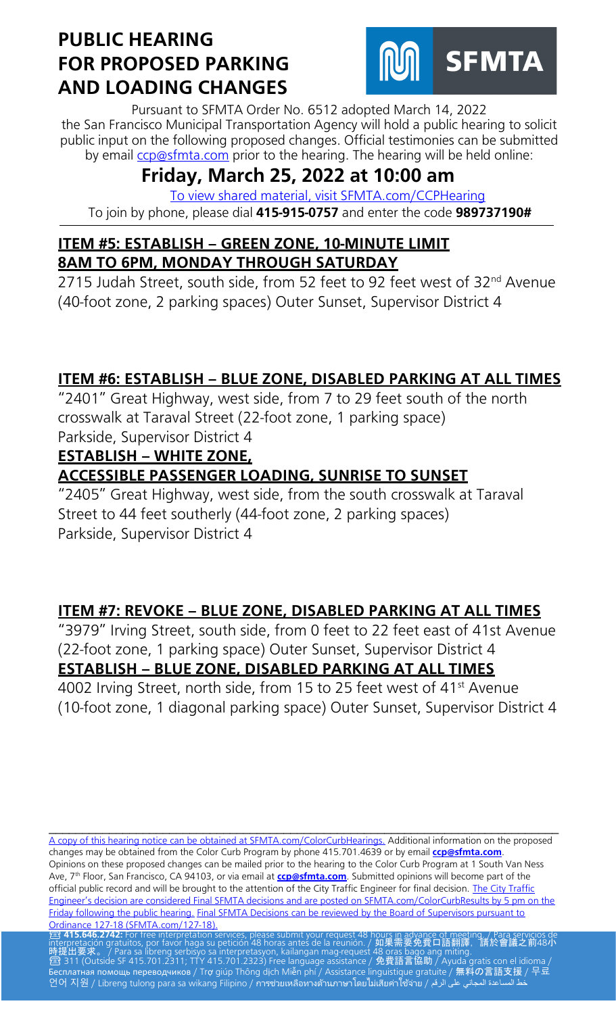

Pursuant to SFMTA Order No. 6512 adopted March 14, 2022 the San Francisco Municipal Transportation Agency will hold a public hearing to solicit public input on the following proposed changes. Official testimonies can be submitted by email [ccp@sfmta.com](mailto:ccp@sfmta.com) prior to the hearing. The hearing will be held online:

# **Friday, March 25, 2022 at 10:00 am**

[To view shared material, visit SFMTA.com/CCPHearing](https://www.sfmta.com/CCPHearing) To join by phone, please dial **415-915-0757** and enter the code **989737190#**

#### **ITEM #5: ESTABLISH – GREEN ZONE, 10-MINUTE LIMIT 8AM TO 6PM, MONDAY THROUGH SATURDAY**

2715 Judah Street, south side, from 52 feet to 92 feet west of 32<sup>nd</sup> Avenue (40-foot zone, 2 parking spaces) Outer Sunset, Supervisor District 4

## **ITEM #6: ESTABLISH – BLUE ZONE, DISABLED PARKING AT ALL TIMES**

"2401" Great Highway, west side, from 7 to 29 feet south of the north crosswalk at Taraval Street (22-foot zone, 1 parking space) Parkside, Supervisor District 4

### **ESTABLISH – WHITE ZONE,**

## **ACCESSIBLE PASSENGER LOADING, SUNRISE TO SUNSET**

"2405" Great Highway, west side, from the south crosswalk at Taraval Street to 44 feet southerly (44-foot zone, 2 parking spaces) Parkside, Supervisor District 4

## **ITEM #7: REVOKE – BLUE ZONE, DISABLED PARKING AT ALL TIMES**

"3979" Irving Street, south side, from 0 feet to 22 feet east of 41st Avenue (22-foot zone, 1 parking space) Outer Sunset, Supervisor District 4

## **ESTABLISH – BLUE ZONE, DISABLED PARKING AT ALL TIMES**

4002 Irving Street, north side, from 15 to 25 feet west of 41<sup>st</sup> Avenue (10-foot zone, 1 diagonal parking space) Outer Sunset, Supervisor District 4

[A copy of this hearing notice can be obtained at SFMTA.com/ColorCurbHearings.](http://www.sfmta.com/ColorCurbHearings) Additional information on the proposed changes may be obtained from the Color Curb Program by phone 415.701.4639 or by email **[ccp@sfmta.com](mailto:ccp@sfmta.com)**. Opinions on these proposed changes can be mailed prior to the hearing to the Color Curb Program at 1 South Van Ness Ave, 7<sup>th</sup> Floor, San Francisco, CA 94103, or via email at **[ccp@sfmta.com](mailto:ccp@sfmta.com)**. Submitted opinions will become part of the official public record and will be brought to the attention of the City Traffic Engineer for final decision. The City Traffic [Engineer's decision are considered Final SFMTA decisions and are posted on SFMTA.com/ColorCurbResults by 5 pm on the](http://www.sfmta.com/ColorCurbResults)  [Friday following the public hearing.](http://www.sfmta.com/ColorCurbResults) [Final SFMTA Decisions can be reviewed by the Board of Supervisors pursuant to](https://sfbos.org/sites/default/files/o0127-18.pdf) Ordinance 127-18 (SFMTA.com/127-18). [Ordinance 127-18 \(SFMTA.com/127-18\).](https://sfbos.org/sites/default/files/o0127-18.pdf)<br><mark>23 415.646.2742:</mark> For free interpretation services, please submit your request 48 hou<u>rs in advance of meet</u>ing. / Para servicios de

\_\_\_\_\_\_\_\_\_\_\_\_\_\_\_\_\_\_\_\_\_\_\_\_\_\_\_\_\_\_\_\_\_\_\_\_\_\_\_\_\_\_\_\_\_\_\_\_\_\_\_\_\_\_\_\_\_\_\_\_\_\_\_\_\_\_\_\_\_\_\_\_\_\_\_\_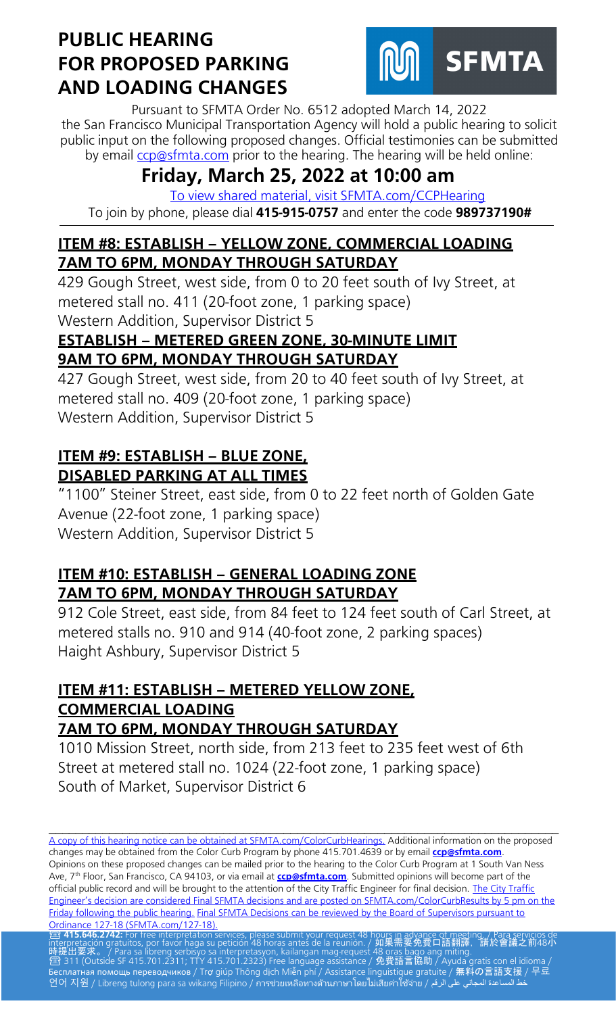

Pursuant to SFMTA Order No. 6512 adopted March 14, 2022 the San Francisco Municipal Transportation Agency will hold a public hearing to solicit public input on the following proposed changes. Official testimonies can be submitted by email [ccp@sfmta.com](mailto:ccp@sfmta.com) prior to the hearing. The hearing will be held online:

# **Friday, March 25, 2022 at 10:00 am**

[To view shared material, visit SFMTA.com/CCPHearing](https://www.sfmta.com/CCPHearing) To join by phone, please dial **415-915-0757** and enter the code **989737190#**

### **ITEM #8: ESTABLISH – YELLOW ZONE, COMMERCIAL LOADING 7AM TO 6PM, MONDAY THROUGH SATURDAY**

429 Gough Street, west side, from 0 to 20 feet south of Ivy Street, at metered stall no. 411 (20-foot zone, 1 parking space) Western Addition, Supervisor District 5

#### **ESTABLISH – METERED GREEN ZONE, 30-MINUTE LIMIT 9AM TO 6PM, MONDAY THROUGH SATURDAY**

427 Gough Street, west side, from 20 to 40 feet south of Ivy Street, at metered stall no. 409 (20-foot zone, 1 parking space) Western Addition, Supervisor District 5

### **ITEM #9: ESTABLISH – BLUE ZONE, DISABLED PARKING AT ALL TIMES**

"1100" Steiner Street, east side, from 0 to 22 feet north of Golden Gate Avenue (22-foot zone, 1 parking space) Western Addition, Supervisor District 5

## **ITEM #10: ESTABLISH – GENERAL LOADING ZONE 7AM TO 6PM, MONDAY THROUGH SATURDAY**

912 Cole Street, east side, from 84 feet to 124 feet south of Carl Street, at metered stalls no. 910 and 914 (40-foot zone, 2 parking spaces) Haight Ashbury, Supervisor District 5

#### **ITEM #11: ESTABLISH – METERED YELLOW ZONE, COMMERCIAL LOADING 7AM TO 6PM, MONDAY THROUGH SATURDAY**

1010 Mission Street, north side, from 213 feet to 235 feet west of 6th Street at metered stall no. 1024 (22-foot zone, 1 parking space) South of Market, Supervisor District 6

\_\_\_\_\_\_\_\_\_\_\_\_\_\_\_\_\_\_\_\_\_\_\_\_\_\_\_\_\_\_\_\_\_\_\_\_\_\_\_\_\_\_\_\_\_\_\_\_\_\_\_\_\_\_\_\_\_\_\_\_\_\_\_\_\_\_\_\_\_\_\_\_\_\_\_\_ [A copy of this hearing notice can be obtained at SFMTA.com/ColorCurbHearings.](http://www.sfmta.com/ColorCurbHearings) Additional information on the proposed changes may be obtained from the Color Curb Program by phone 415.701.4639 or by email **[ccp@sfmta.com](mailto:ccp@sfmta.com)**. Opinions on these proposed changes can be mailed prior to the hearing to the Color Curb Program at 1 South Van Ness Ave, 7<sup>th</sup> Floor, San Francisco, CA 94103, or via email at **[ccp@sfmta.com](mailto:ccp@sfmta.com)**. Submitted opinions will become part of the official public record and will be brought to the attention of the City Traffic Engineer for final decision. The City Traffic [Engineer's decision are considered Final SFMTA decisions and are posted on SFMTA.com/ColorCurbResults by 5 pm on the](http://www.sfmta.com/ColorCurbResults)  [Friday following the public hearing.](http://www.sfmta.com/ColorCurbResults) [Final SFMTA Decisions can be reviewed by the Board of Supervisors pursuant to](https://sfbos.org/sites/default/files/o0127-18.pdf) Ordinance 127-18 (SFMTA.com/127-18). [Ordinance 127-18 \(SFMTA.com/127-18\).](https://sfbos.org/sites/default/files/o0127-18.pdf)<br><mark>23 415.646.2742:</mark> For free interpretation services, please submit your request 48 hou<u>rs in advance of meet</u>ing. / Para servicios de